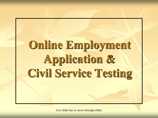# **Online Employment Application & Civil Service Testing**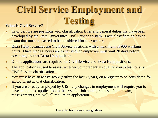## **Civil Service Employment and What is Civil Service?**

#### Civil Service are positions with classification titles and general duties that have been developed by the State Universities Civil Service System. Each classification has an exam that must be passed to be considered for the vacancy.

- **Extra Help vacancies are Civil Service positions with a maximum of 900 working** hours. Once the 900 hours are exhausted, an employee must wait 30 days before accepting another Extra Help position.
- Online applications are required for Civil Service and Extra Help positions.
- The application is used to assess whether your credentials qualify you to test for any Civil Service classification.
- **Nou** must have an active score (within the last 2 years) on a register to be considered for employment in that classification.
- If you are already employed by UIS any changes in employment will require you to have an updated application in the system. Job audits, requests for an exam, reassignments, etc. will all require an application.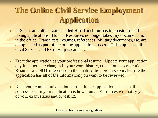#### **The Online Civil Service Employment Application**

- UIS uses an online system called Hire Touch for posting positions and taking applications. Human Resources no longer takes any documentation in the office. Transcripts, resumes, references, Military documents, etc. are all uploaded as part of the online application process. This applies to all Civil Service and Extra Help vacancies.
- **Treat the application as your professional resume.** Update your application anytime there are changes in your work history, education, or credentials. Resumes are NOT referenced in the qualification process so make sure the application has all of the information you want to be reviewed.
- Keep your contact information current in the application. The email address used in your application is how Human Resources will notify you of your exam status and/or testing.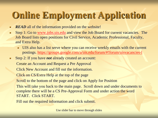### **Online Employment Application**

- **READ** all of the information provided on the website!
- Step 1: Go to [www.jobs.uis.edu](http://www.jobs.uis.edu/) and view the Job Board for current vacancies. The Job Board lists open positions for Civil Service, Academic Professional, Faculty, and Extra Help.
	- UIS also has a list serve where you can receive weekly emails with the current postings. <https://groups.google.com/a/uis.edu/forum/#!forum/uisvacancies-l>
- Step 2: If you have *not* already created an account:

Create an Account and Request a Pre Approval

Click New Account and fill out the information.

Click on CS/Extra Help at the top of the page

Scroll to the bottom of the page and click on Apply for Position

This will take you back to the main page. Scroll down and under documents to complete there will be a CS Pre-Approval Form and under action the word START. Click START.

Fill out the required information and click submit.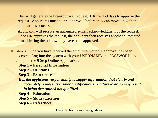This will generate the Pre-Approval request. HR has 1-3 days to approve the request. Applicants must be pre-approved before they can move on with the applications process.

Applicants will receive an automated e-mail acknowledgment of the request. Once HR approves the request, the applicant then receives another automated e-mail letting them know they have been approved.

Step 3: Once you have received the email that your pre approval has been accepted, Log into the system with your USERNAME and PASSWORD and complete the 9 Step Online Application.

**Step 1 – Personal Information**

**Step 2 – UI Status**

**Step 3 – Experience**

*It is the applicants responsibility to supply information that clearly and accurately represents his/her qualifications. Failure to do so may result in being determined not qualified***.**

**Step 4 – Education**

**Step 5 – Skills / Licenses**

**Step 6 – References**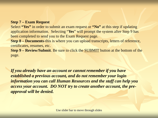#### **Step 7 – Exam Request**

Select **"Yes"** in order to submit an exam request or **"No"** at this step if updating application information. Selecting "**Yes**" will prompt the system after Step 9 has been completed to send you to the Exam Request page.

**Step 8 – Documents**-this is where you can upload transcripts, letters of reference, certificates, resumes, etc.

**Step 9 – Review/Submit**. Be sure to click the SUBMIT button at the bottom of the page.

*If you already have an account or cannot remember if you have established a previous account, and do not remember your login information you can call Human Resources and the staff can help you access your account. DO NOT try to create another account, the preapproval will be denied.*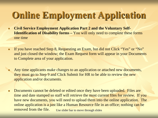### **Online Employment Application**

- Civil Service Employment Application Part 2 and the Voluntary Self-**Identification of Disability forms –** You will only need to complete these forms one time
- If you have reached Step 8, Requesting an Exam, but did not Click "Yes" or "No" and just closed the window; the Exam Request form will appear in your Documents to Complete area of your application.
- **Any time applicants make changes to an application or attached new documents,** they must go to Step 9 and Click Submit for HR to be able to review the new application and/or documents.
- Documents cannot be deleted or edited once they have been uploaded. Files are time and date stamped so staff will retrieve the most current files for review. If you have new documents, you will need to upload them into the online application. The online application is a just like a Human Resource file in an office; nothing can be removed from the file. Use slider bar to move through slides